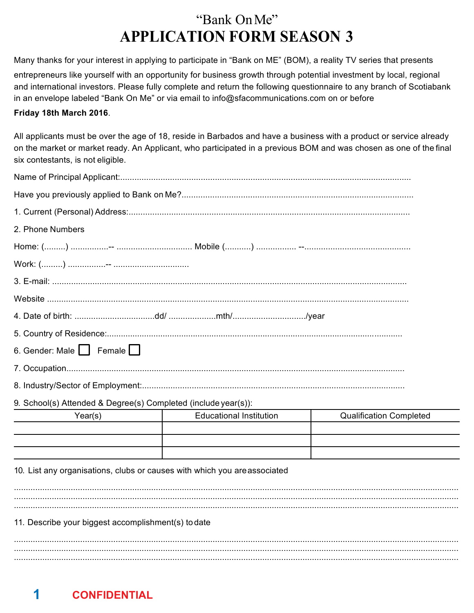Many thanks for your interest in applying to participate in "Bank on ME" (BOM), a reality TV series that presents entrepreneurs like yourself with an opportunity for business growth through potential investment by local, regional and international investors. Please fully complete and return the following questionnaire to any branch of Scotiabank in an envelope labeled "Bank On Me" or via email to info@sfacommunications.com on or before

#### Friday 18th March 2016.

All applicants must be over the age of 18, reside in Barbados and have a business with a product or service already on the market or market ready. An Applicant, who participated in a previous BOM and was chosen as one of the final six contestants, is not eligible.

| 2. Phone Numbers                                                         |                                |                                |
|--------------------------------------------------------------------------|--------------------------------|--------------------------------|
|                                                                          |                                |                                |
|                                                                          |                                |                                |
|                                                                          |                                |                                |
|                                                                          |                                |                                |
|                                                                          |                                |                                |
|                                                                          |                                |                                |
| 6. Gender: Male Female                                                   |                                |                                |
|                                                                          |                                |                                |
|                                                                          |                                |                                |
| 9. School(s) Attended & Degree(s) Completed (include year(s)):           |                                |                                |
| Year(s)                                                                  | <b>Educational Institution</b> | <b>Qualification Completed</b> |
|                                                                          |                                |                                |
|                                                                          |                                |                                |
| 10. List any organisations, clubs or causes with which you areassociated |                                |                                |
|                                                                          |                                |                                |
|                                                                          |                                |                                |
| 11. Describe your biggest accomplishment(s) to date                      |                                |                                |
|                                                                          |                                |                                |
|                                                                          |                                |                                |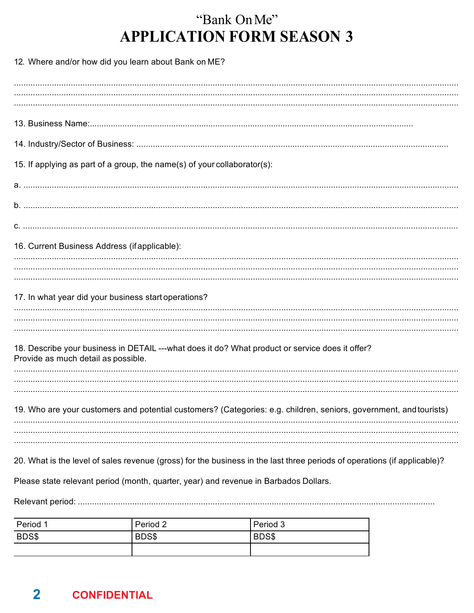| 12. Where and/or how did you learn about Bank on ME?                                                                     |          |          |  |
|--------------------------------------------------------------------------------------------------------------------------|----------|----------|--|
|                                                                                                                          |          |          |  |
|                                                                                                                          |          |          |  |
|                                                                                                                          |          |          |  |
| 15. If applying as part of a group, the name(s) of your collaborator(s):                                                 |          |          |  |
|                                                                                                                          |          |          |  |
|                                                                                                                          |          |          |  |
|                                                                                                                          |          |          |  |
| 16. Current Business Address (if applicable):                                                                            |          |          |  |
|                                                                                                                          |          |          |  |
|                                                                                                                          |          |          |  |
| 17. In what year did your business start operations?                                                                     |          |          |  |
|                                                                                                                          |          |          |  |
| 18. Describe your business in DETAIL ---what does it do? What product or service does it offer?                          |          |          |  |
| Provide as much detail as possible.                                                                                      |          |          |  |
|                                                                                                                          |          |          |  |
| 19. Who are your customers and potential customers? (Categories: e.g. children, seniors, government, and tourists)       |          |          |  |
|                                                                                                                          |          |          |  |
|                                                                                                                          |          |          |  |
| 20. What is the level of sales revenue (gross) for the business in the last three periods of operations (if applicable)? |          |          |  |
| Please state relevant period (month, quarter, year) and revenue in Barbados Dollars.                                     |          |          |  |
|                                                                                                                          |          |          |  |
| Period 1                                                                                                                 | Period 2 | Period 3 |  |

| Period 1 | Period 2 | Period 3 |
|----------|----------|----------|
| BDS\$    | BDS\$    | BDS\$    |
|          |          |          |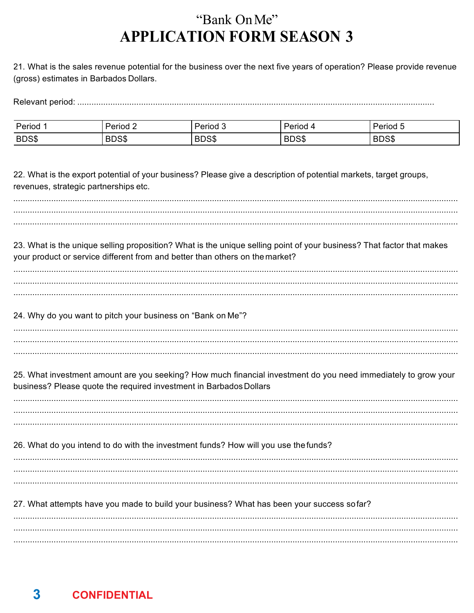21. What is the sales revenue potential for the business over the next five years of operation? Please provide revenue (gross) estimates in Barbados Dollars.

| Period | Period                    | $\overline{\phantom{a}}$<br>_<br>ڈ eriod' | Period      | <b>്</b> Period ം |
|--------|---------------------------|-------------------------------------------|-------------|-------------------|
| BDS\$  | <b>RDCC</b><br><b>DUS</b> | <b>DDCC</b><br><b>DUS</b>                 | oned<br>סטש | BDS\$             |

22. What is the export potential of your business? Please give a description of potential markets, target groups, revenues, strategic partnerships etc.

23. What is the unique selling proposition? What is the unique selling point of your business? That factor that makes your product or service different from and better than others on the market?

| . |
|---|
|   |
|   |

24. Why do you want to pitch your business on "Bank on Me"?

25. What investment amount are you seeking? How much financial investment do you need immediately to grow your business? Please quote the required investment in Barbados Dollars

26. What do you intend to do with the investment funds? How will you use the funds?

27. What attempts have you made to build your business? What has been your success sofar?

|  | . |
|--|---|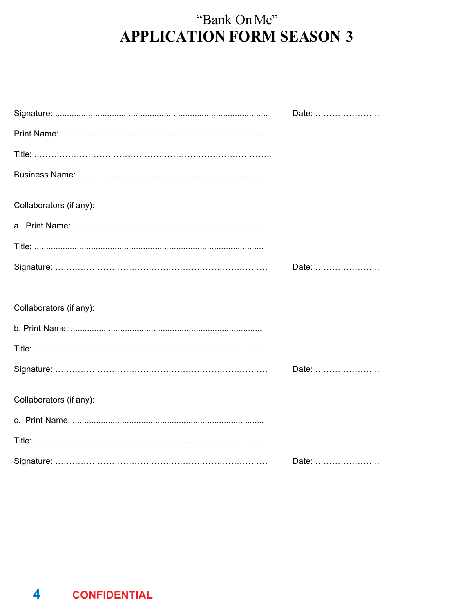|                         | Date: |
|-------------------------|-------|
|                         |       |
|                         |       |
|                         |       |
| Collaborators (if any): |       |
|                         |       |
|                         |       |
|                         | Date: |
|                         |       |
| Collaborators (if any): |       |
|                         |       |
|                         |       |
|                         | Date: |
| Collaborators (if any): |       |
|                         |       |
|                         |       |
|                         | Date: |

 $\overline{\mathbf{4}}$ **CONFIDENTIAL**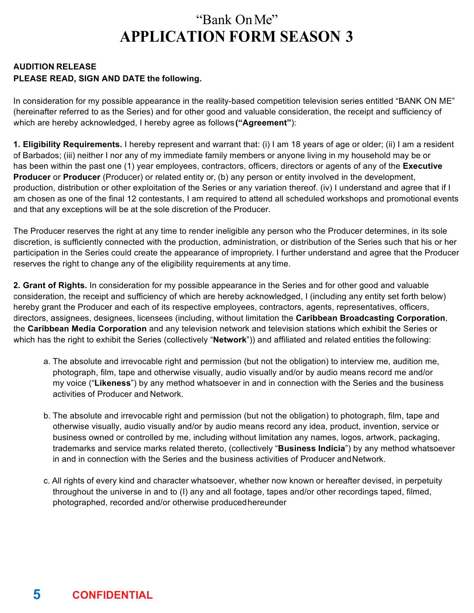#### **AUDITION RELEASE PLEASE READ, SIGN AND DATE the following.**

In consideration for my possible appearance in the reality-based competition television series entitled "BANK ON ME" (hereinafter referred to as the Series) and for other good and valuable consideration, the receipt and sufficiency of which are hereby acknowledged, I hereby agree as follows **("Agreement"**):

**1. Eligibility Requirements.** I hereby represent and warrant that: (i) I am 18 years of age or older; (ii) I am a resident of Barbados; (iii) neither I nor any of my immediate family members or anyone living in my household may be or has been within the past one (1) year employees, contractors, officers, directors or agents of any of the **Executive Producer** or **Producer** (Producer) or related entity or, (b) any person or entity involved in the development, production, distribution or other exploitation of the Series or any variation thereof. (iv) I understand and agree that if I am chosen as one of the final 12 contestants, I am required to attend all scheduled workshops and promotional events and that any exceptions will be at the sole discretion of the Producer.

The Producer reserves the right at any time to render ineligible any person who the Producer determines, in its sole discretion, is sufficiently connected with the production, administration, or distribution of the Series such that his or her participation in the Series could create the appearance of impropriety. I further understand and agree that the Producer reserves the right to change any of the eligibility requirements at any time.

**2. Grant of Rights.** In consideration for my possible appearance in the Series and for other good and valuable consideration, the receipt and sufficiency of which are hereby acknowledged, I (including any entity set forth below) hereby grant the Producer and each of its respective employees, contractors, agents, representatives, officers, directors, assignees, designees, licensees (including, without limitation the **Caribbean Broadcasting Corporation**, the **Caribbean Media Corporation** and any television network and television stations which exhibit the Series or which has the right to exhibit the Series (collectively "**Network**")) and affiliated and related entities the following:

- a. The absolute and irrevocable right and permission (but not the obligation) to interview me, audition me, photograph, film, tape and otherwise visually, audio visually and/or by audio means record me and/or my voice ("**Likeness**") by any method whatsoever in and in connection with the Series and the business activities of Producer and Network.
- b. The absolute and irrevocable right and permission (but not the obligation) to photograph, film, tape and otherwise visually, audio visually and/or by audio means record any idea, product, invention, service or business owned or controlled by me, including without limitation any names, logos, artwork, packaging, trademarks and service marks related thereto, (collectively "**Business Indicia**") by any method whatsoever in and in connection with the Series and the business activities of Producer andNetwork.
- c. All rights of every kind and character whatsoever, whether now known or hereafter devised, in perpetuity throughout the universe in and to (I) any and all footage, tapes and/or other recordings taped, filmed, photographed, recorded and/or otherwise producedhereunder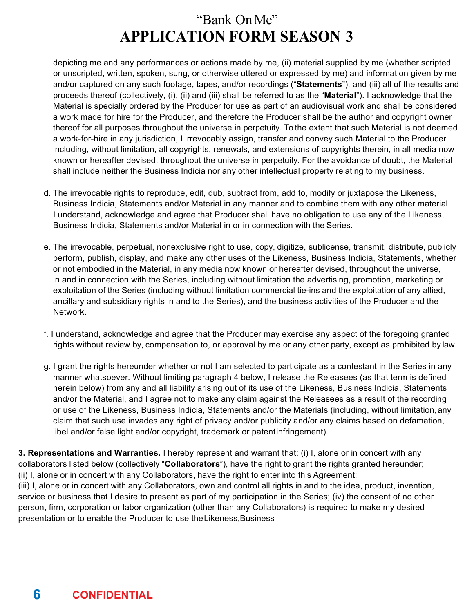depicting me and any performances or actions made by me, (ii) material supplied by me (whether scripted or unscripted, written, spoken, sung, or otherwise uttered or expressed by me) and information given by me and/or captured on any such footage, tapes, and/or recordings ("**Statements**"), and (iii) all of the results and proceeds thereof (collectively, (i), (ii) and (iii) shall be referred to as the "**Material**"). I acknowledge that the Material is specially ordered by the Producer for use as part of an audiovisual work and shall be considered a work made for hire for the Producer, and therefore the Producer shall be the author and copyright owner thereof for all purposes throughout the universe in perpetuity. To the extent that such Material is not deemed a work-for-hire in any jurisdiction, I irrevocably assign, transfer and convey such Material to the Producer including, without limitation, all copyrights, renewals, and extensions of copyrights therein, in all media now known or hereafter devised, throughout the universe in perpetuity. For the avoidance of doubt, the Material shall include neither the Business Indicia nor any other intellectual property relating to my business.

- d. The irrevocable rights to reproduce, edit, dub, subtract from, add to, modify or juxtapose the Likeness, Business Indicia, Statements and/or Material in any manner and to combine them with any other material. I understand, acknowledge and agree that Producer shall have no obligation to use any of the Likeness, Business Indicia, Statements and/or Material in or in connection with the Series.
- e. The irrevocable, perpetual, nonexclusive right to use, copy, digitize, sublicense, transmit, distribute, publicly perform, publish, display, and make any other uses of the Likeness, Business Indicia, Statements, whether or not embodied in the Material, in any media now known or hereafter devised, throughout the universe, in and in connection with the Series, including without limitation the advertising, promotion, marketing or exploitation of the Series (including without limitation commercial tie-ins and the exploitation of any allied, ancillary and subsidiary rights in and to the Series), and the business activities of the Producer and the Network.
- f. I understand, acknowledge and agree that the Producer may exercise any aspect of the foregoing granted rights without review by, compensation to, or approval by me or any other party, except as prohibited by law.
- g. I grant the rights hereunder whether or not I am selected to participate as a contestant in the Series in any manner whatsoever. Without limiting paragraph 4 below, I release the Releasees (as that term is defined herein below) from any and all liability arising out of its use of the Likeness, Business Indicia, Statements and/or the Material, and I agree not to make any claim against the Releasees as a result of the recording or use of the Likeness, Business Indicia, Statements and/or the Materials (including, without limitation,any claim that such use invades any right of privacy and/or publicity and/or any claims based on defamation, libel and/or false light and/or copyright, trademark or patentinfringement).

**3. Representations and Warranties.** I hereby represent and warrant that: (i) I, alone or in concert with any collaborators listed below (collectively "**Collaborators**"), have the right to grant the rights granted hereunder; (ii) I, alone or in concert with any Collaborators, have the right to enter into this Agreement; (iii) I, alone or in concert with any Collaborators, own and control all rights in and to the idea, product, invention, service or business that I desire to present as part of my participation in the Series; (iv) the consent of no other person, firm, corporation or labor organization (other than any Collaborators) is required to make my desired presentation or to enable the Producer to use theLikeness,Business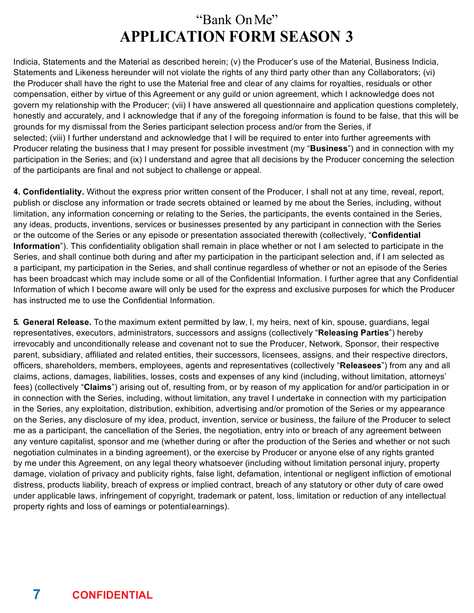Indicia, Statements and the Material as described herein; (v) the Producer's use of the Material, Business Indicia, Statements and Likeness hereunder will not violate the rights of any third party other than any Collaborators; (vi) the Producer shall have the right to use the Material free and clear of any claims for royalties, residuals or other compensation, either by virtue of this Agreement or any guild or union agreement, which I acknowledge does not govern my relationship with the Producer; (vii) I have answered all questionnaire and application questions completely, honestly and accurately, and I acknowledge that if any of the foregoing information is found to be false, that this will be grounds for my dismissal from the Series participant selection process and/or from the Series, if selected; (viii) I further understand and acknowledge that I will be required to enter into further agreements with Producer relating the business that I may present for possible investment (my "**Business**") and in connection with my participation in the Series; and (ix) I understand and agree that all decisions by the Producer concerning the selection of the participants are final and not subject to challenge or appeal.

**4. Confidentiality.** Without the express prior written consent of the Producer, I shall not at any time, reveal, report, publish or disclose any information or trade secrets obtained or learned by me about the Series, including, without limitation, any information concerning or relating to the Series, the participants, the events contained in the Series, any ideas, products, inventions, services or businesses presented by any participant in connection with the Series or the outcome of the Series or any episode or presentation associated therewith (collectively, "**Confidential Information**"). This confidentiality obligation shall remain in place whether or not I am selected to participate in the Series, and shall continue both during and after my participation in the participant selection and, if I am selected as a participant, my participation in the Series, and shall continue regardless of whether or not an episode of the Series has been broadcast which may include some or all of the Confidential Information. I further agree that any Confidential Information of which I become aware will only be used for the express and exclusive purposes for which the Producer has instructed me to use the Confidential Information.

**5. General Release.** To the maximum extent permitted by law, I, my heirs, next of kin, spouse, guardians, legal representatives, executors, administrators, successors and assigns (collectively "**Releasing Parties**") hereby irrevocably and unconditionally release and covenant not to sue the Producer, Network, Sponsor, their respective parent, subsidiary, affiliated and related entities, their successors, licensees, assigns, and their respective directors, officers, shareholders, members, employees, agents and representatives (collectively "**Releasees**") from any and all claims, actions, damages, liabilities, losses, costs and expenses of any kind (including, without limitation, attorneys' fees) (collectively "**Claims**") arising out of, resulting from, or by reason of my application for and/or participation in or in connection with the Series, including, without limitation, any travel I undertake in connection with my participation in the Series, any exploitation, distribution, exhibition, advertising and/or promotion of the Series or my appearance on the Series, any disclosure of my idea, product, invention, service or business, the failure of the Producer to select me as a participant, the cancellation of the Series, the negotiation, entry into or breach of any agreement between any venture capitalist, sponsor and me (whether during or after the production of the Series and whether or not such negotiation culminates in a binding agreement), or the exercise by Producer or anyone else of any rights granted by me under this Agreement, on any legal theory whatsoever (including without limitation personal injury, property damage, violation of privacy and publicity rights, false light, defamation, intentional or negligent infliction of emotional distress, products liability, breach of express or implied contract, breach of any statutory or other duty of care owed under applicable laws, infringement of copyright, trademark or patent, loss, limitation or reduction of any intellectual property rights and loss of earnings or potentialearnings).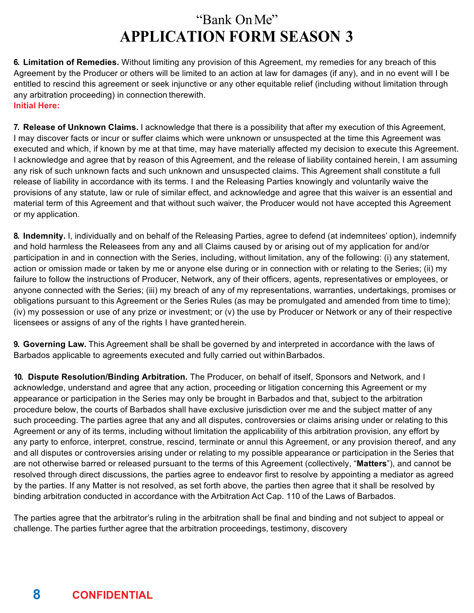**6. Limitation of Remedies.** Without limiting any provision of this Agreement, my remedies for any breach of this Agreement by the Producer or others will be limited to an action at law for damages (if any), and in no event will I be entitled to rescind this agreement or seek injunctive or any other equitable relief (including without limitation through any arbitration proceeding) in connection therewith. **Initial Here:**

**7. Release of Unknown Claims.** I acknowledge that there is a possibility that after my execution of this Agreement, I may discover facts or incur or suffer claims which were unknown or unsuspected at the time this Agreement was executed and which, if known by me at that time, may have materially affected my decision to execute this Agreement. I acknowledge and agree that by reason of this Agreement, and the release of liability contained herein, I am assuming any risk of such unknown facts and such unknown and unsuspected claims. This Agreement shall constitute a full release of liability in accordance with its terms. I and the Releasing Parties knowingly and voluntarily waive the provisions of any statute, law or rule of similar effect, and acknowledge and agree that this waiver is an essential and material term of this Agreement and that without such waiver, the Producer would not have accepted this Agreement or my application.

**8. Indemnity.** I, individually and on behalf of the Releasing Parties, agree to defend (at indemnitees' option), indemnify and hold harmless the Releasees from any and all Claims caused by or arising out of my application for and/or participation in and in connection with the Series, including, without limitation, any of the following: (i) any statement, action or omission made or taken by me or anyone else during or in connection with or relating to the Series; (ii) my failure to follow the instructions of Producer, Network, any of their officers, agents, representatives or employees, or anyone connected with the Series; (iii) my breach of any of my representations, warranties, undertakings, promises or obligations pursuant to this Agreement or the Series Rules (as may be promulgated and amended from time to time); (iv) my possession or use of any prize or investment; or (v) the use by Producer or Network or any of their respective licensees or assigns of any of the rights I have grantedherein.

**9. Governing Law.** This Agreement shall be shall be governed by and interpreted in accordance with the laws of Barbados applicable to agreements executed and fully carried out withinBarbados.

**10. Dispute Resolution/Binding Arbitration.** The Producer, on behalf of itself, Sponsors and Network, and I acknowledge, understand and agree that any action, proceeding or litigation concerning this Agreement or my appearance or participation in the Series may only be brought in Barbados and that, subject to the arbitration procedure below, the courts of Barbados shall have exclusive jurisdiction over me and the subject matter of any such proceeding. The parties agree that any and all disputes, controversies or claims arising under or relating to this Agreement or any of its terms, including without limitation the applicability of this arbitration provision, any effort by any party to enforce, interpret, construe, rescind, terminate or annul this Agreement, or any provision thereof, and any and all disputes or controversies arising under or relating to my possible appearance or participation in the Series that are not otherwise barred or released pursuant to the terms of this Agreement (collectively, "**Matters**"), and cannot be resolved through direct discussions, the parties agree to endeavor first to resolve by appointing a mediator as agreed by the parties. If any Matter is not resolved, as set forth above, the parties then agree that it shall be resolved by binding arbitration conducted in accordance with the Arbitration Act Cap. 110 of the Laws of Barbados.

The parties agree that the arbitrator's ruling in the arbitration shall be final and binding and not subject to appeal or challenge. The parties further agree that the arbitration proceedings, testimony, discovery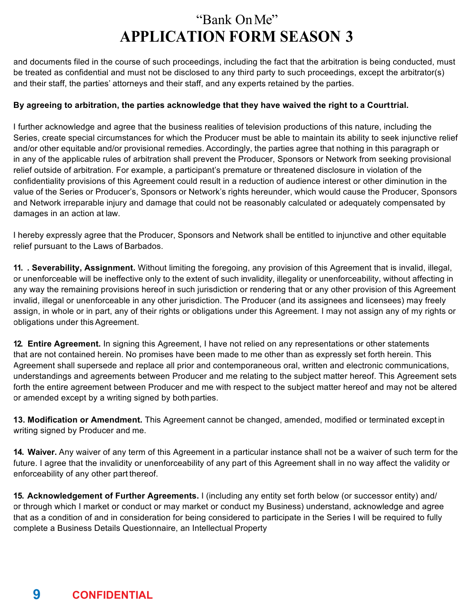and documents filed in the course of such proceedings, including the fact that the arbitration is being conducted, must be treated as confidential and must not be disclosed to any third party to such proceedings, except the arbitrator(s) and their staff, the parties' attorneys and their staff, and any experts retained by the parties.

#### **By agreeing to arbitration, the parties acknowledge that they have waived the right to a Courttrial.**

I further acknowledge and agree that the business realities of television productions of this nature, including the Series, create special circumstances for which the Producer must be able to maintain its ability to seek injunctive relief and/or other equitable and/or provisional remedies. Accordingly, the parties agree that nothing in this paragraph or in any of the applicable rules of arbitration shall prevent the Producer, Sponsors or Network from seeking provisional relief outside of arbitration. For example, a participant's premature or threatened disclosure in violation of the confidentiality provisions of this Agreement could result in a reduction of audience interest or other diminution in the value of the Series or Producer's, Sponsors or Network's rights hereunder, which would cause the Producer, Sponsors and Network irreparable injury and damage that could not be reasonably calculated or adequately compensated by damages in an action at law.

I hereby expressly agree that the Producer, Sponsors and Network shall be entitled to injunctive and other equitable relief pursuant to the Laws of Barbados.

**11. . Severability, Assignment.** Without limiting the foregoing, any provision of this Agreement that is invalid, illegal, or unenforceable will be ineffective only to the extent of such invalidity, illegality or unenforceability, without affecting in any way the remaining provisions hereof in such jurisdiction or rendering that or any other provision of this Agreement invalid, illegal or unenforceable in any other jurisdiction. The Producer (and its assignees and licensees) may freely assign, in whole or in part, any of their rights or obligations under this Agreement. I may not assign any of my rights or obligations under this Agreement.

**12. Entire Agreement.** In signing this Agreement, I have not relied on any representations or other statements that are not contained herein. No promises have been made to me other than as expressly set forth herein. This Agreement shall supersede and replace all prior and contemporaneous oral, written and electronic communications, understandings and agreements between Producer and me relating to the subject matter hereof. This Agreement sets forth the entire agreement between Producer and me with respect to the subject matter hereof and may not be altered or amended except by a writing signed by both parties.

**13. Modification or Amendment.** This Agreement cannot be changed, amended, modified or terminated except in writing signed by Producer and me.

**14. Waiver.** Any waiver of any term of this Agreement in a particular instance shall not be a waiver of such term for the future. I agree that the invalidity or unenforceability of any part of this Agreement shall in no way affect the validity or enforceability of any other part thereof.

**15. Acknowledgement of Further Agreements.** I (including any entity set forth below (or successor entity) and/ or through which I market or conduct or may market or conduct my Business) understand, acknowledge and agree that as a condition of and in consideration for being considered to participate in the Series I will be required to fully complete a Business Details Questionnaire, an Intellectual Property